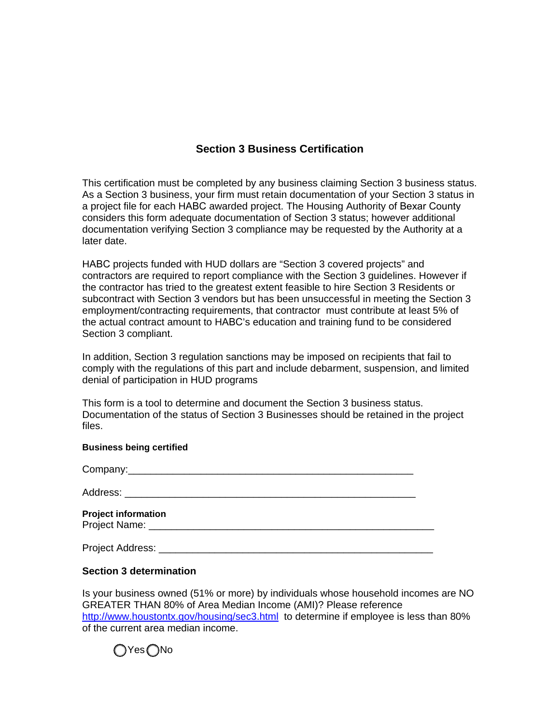## **Section 3 Business Certification**

This certification must be completed by any business claiming Section 3 business status. As a Section 3 business, your firm must retain documentation of your Section 3 status in a project file for each HABC awarded project. The Housing Authority of Bexar County considers this form adequate documentation of Section 3 status; however additional documentation verifying Section 3 compliance may be requested by the Authority at a later date.

HABC projects funded with HUD dollars are "Section 3 covered projects" and contractors are required to report compliance with the Section 3 guidelines. However if the contractor has tried to the greatest extent feasible to hire Section 3 Residents or subcontract with Section 3 vendors but has been unsuccessful in meeting the Section 3 employment/contracting requirements, that contractor must contribute at least 5% of the actual contract amount to HABC's education and training fund to be considered Section 3 compliant.

In addition, Section 3 regulation sanctions may be imposed on recipients that fail to comply with the regulations of this part and include debarment, suspension, and limited denial of participation in HUD programs

This form is a tool to determine and document the Section 3 business status. Documentation of the status of Section 3 Businesses should be retained in the project files.

## **Business being certified**

Company:

Address: \_\_\_\_\_\_\_\_\_\_\_\_\_\_\_\_\_\_\_\_\_\_\_\_\_\_\_\_\_\_\_\_\_\_\_\_\_\_\_\_\_\_\_\_\_\_\_\_\_\_\_\_

| <b>Project information</b> |  |  |  |
|----------------------------|--|--|--|
| Project Name:              |  |  |  |

Project Address: **Example 20** and 20 and 20 and 20 and 20 and 20 and 20 and 20 and 20 and 20 and 20 and 20 and 20 and 20 and 20 and 20 and 20 and 20 and 20 and 20 and 20 and 20 and 20 and 20 and 20 and 20 and 20 and 20 and

## **Section 3 determination**

Is your business owned (51% or more) by individuals whose household incomes are NO GREATER THAN 80% of Area Median Income (AMI)? Please reference http://www.houstontx.gov/housing/sec3.html to determine if employee is less than 80% of the current area median income.

( ) Yes ( ) No